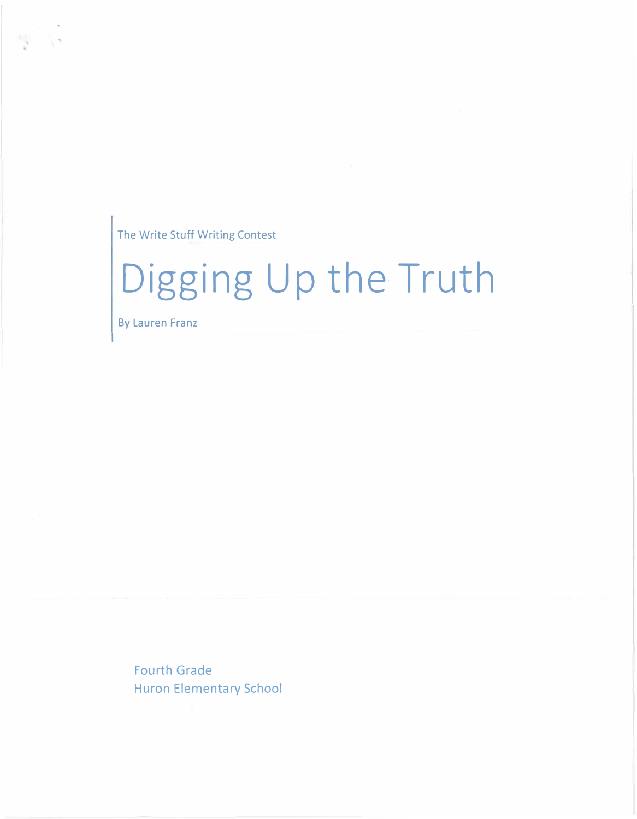The Write Stuff Writing Contest

## **Digging Up the Truth**

By Lauren Franz

I •

Fourth Grade Huron Elementary School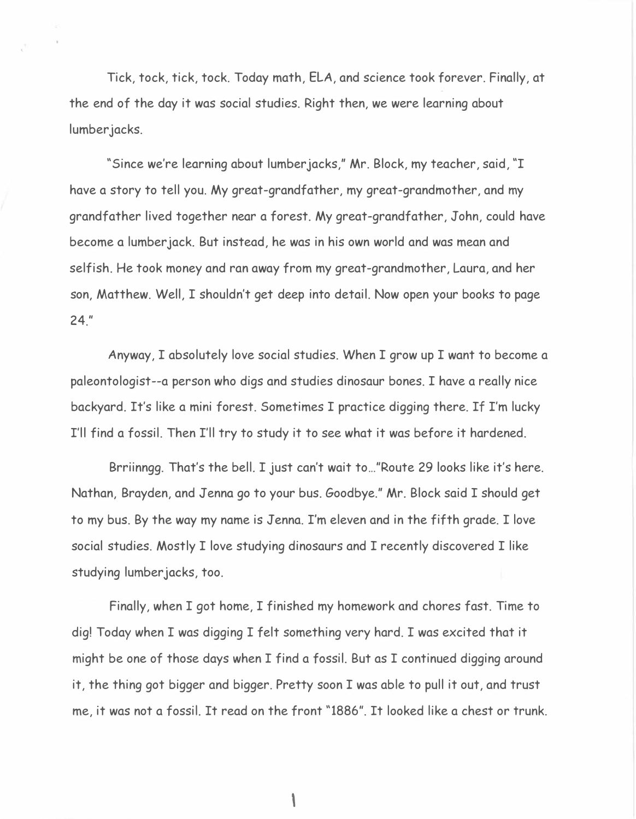Tick, tock, tick, tock. Today math, ELA, and science took forever. Finally, at the end of the day it was social studies. Right then, we were learning about lumber jacks.

"Since we're learning about lumberjacks," Mr. Block, my teacher, said, "I have a story to tell you. My great-grandfather, my great-grandmother, and my grandfather lived together near a forest. My great-grandfather, John, could have become a lumberjack. But instead, he was in his own world and was mean and selfish. He took money and ran away from my great-grandmother, Laura, and her son, Matthew. Well, I shouldn't get deep into detail. Now open your books to page 24."

Anyway, I absolutely love social studies. When I grow up I want to become a paleontologist--a person who digs and studies dinosaur bones. I have a really nice backyard. It's like a mini forest. Sometimes I practice digging there. If I'm lucky I'll find a fossil. Then I'll try to study it to see what it was before it hardened.

Brriinngg. That's the bell. I just can't wait to ... "Route 29 looks like it's here. Nathan, Brayden, and Jenna go to your bus. Goodbye." Mr. Block said I should get to my bus. By the way my name is Jenna. I'm eleven and in the fifth grade. I love social studies. Mostly I love studying dinosaurs and I recently discovered I like studying lumber jacks, too.

Finally, when I got home, I finished my homework and chores fast. Time to dig! Today when I was digging I felt something very hard. I was excited that it might be one of those days when I find a fossil. But as I continued digging around it, the thing got bigger and bigger. Pretty soon I was able to pull it out, and trust me, it was not a fossil. It read on the front "1886". It looked like a chest or trunk.

\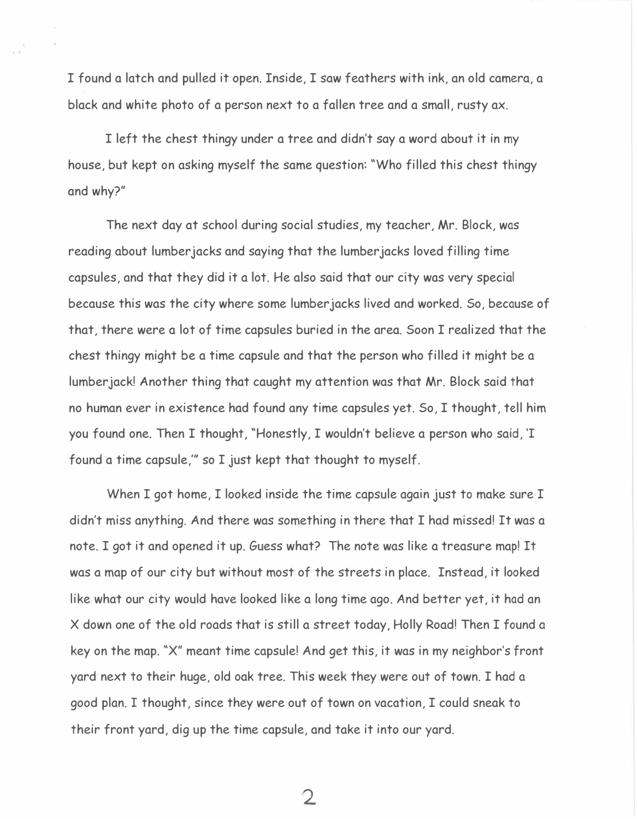I found a latch and pulled it open. Inside, I saw feathers with ink, an old camera, a black and white photo of a person next to a fallen tree and a small, rusty ax.

I left the chest thingy under a tree and didn't say a word about it in my house, but kept on asking myself the same question: "Who filled this chest thingy and why?"

The next day at school during social studies, my teacher, Mr. Block, was reading about lumber jacks and saying that the lumber jacks loved filling time capsules, and that they did it a lot. He also said that our city was very special because this was the city where some lumber jacks lived and worked. So, because of that, there were a lot of time capsules buried in the area. Soon I realized that the chest thingy might be a time capsule and that the person who filled it might be a lumberjack! Another thing that caught my attention was that Mr. Block said that no human ever in existence had found any time capsules yet. So, I thought, tell him you found one. Then I thought, "Honestly, I wouldn't believe a person who said, 'I found a time capsule,"' so I just kept that thought to myself.

When I got home, I looked inside the time capsule again just to make sure I didn't miss anything. And there was something in there that I had missed! It was a note. I got it and opened it up. Guess what? The note was like a treasure map! It was a map of our city but without most of the streets in place. Instead, it looked like what our city would have looked like a long time ago. And better yet, it had an X down one of the old roads that is still a street today, Holly Road! Then I found a key on the map. "X" meant time capsule! And get this, it was in my neighbor's front yard next to their huge, old oak tree. This week they were out of town. I had a good plan. I thought, since they were out of town on vacation, I could sneak to their front yard, dig up the time capsule, and take it into our yard.

 $\mathbf 2$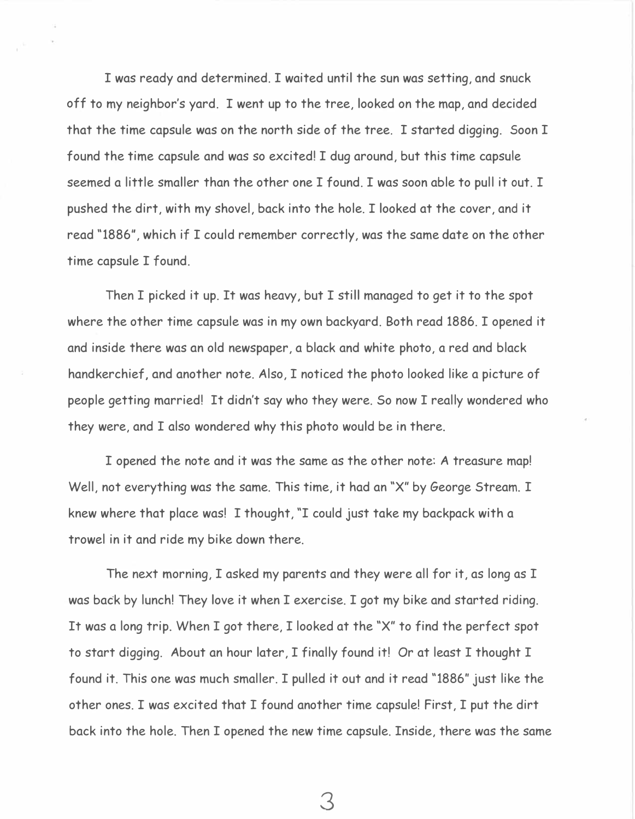I was ready and determined. I waited until the sun was setting, and snuck off to my neighbor's yard. I went up to the tree, looked on the map, and decided that the time capsule was on the north side of the tree. I started digging. Soon I found the time capsule and was so excited! I dug around, but this time capsule seemed a little smaller than the other one I found. I was soon able to pull it out. I pushed the dirt, with my shovel, back into the hole. I looked at the cover, and it read "1886", which if I could remember correctly, was the same date on the other time capsule I found.

Then I picked it up. It was heavy, but I still managed to get it to the spot where the other time capsule was in my own backyard. Both read 1886. I opened it and inside there was an old newspaper, a black and white photo, a red and black handkerchief, and another note. Also, I noticed the photo looked like a picture of people getting married! It didn't say who they were. So now I really wondered who they were, and I also wondered why this photo would be in there.

I opened the note and it was the same as the other note: A treasure map! Well, not everything was the same. This time, it had an "X" by George Stream. I knew where that place was! I thought, "I could just take my backpack with a trowel in it and ride my bike down there.

The next morning, I asked my parents and they were all for it, as long as I was back by lunch! They love it when I exercise. I got my bike and started riding. It was a long trip. When I got there, I looked at the "X" to find the perfect spot to start digging. About an hour later, I finally found it! Or at least I thought I found it. This one was much smaller. I pulled it out and it read "1886" just like the other ones. I was excited that I found another time capsule! First, I put the dirt back into the hole. Then I opened the new time capsule. Inside, there was the same

3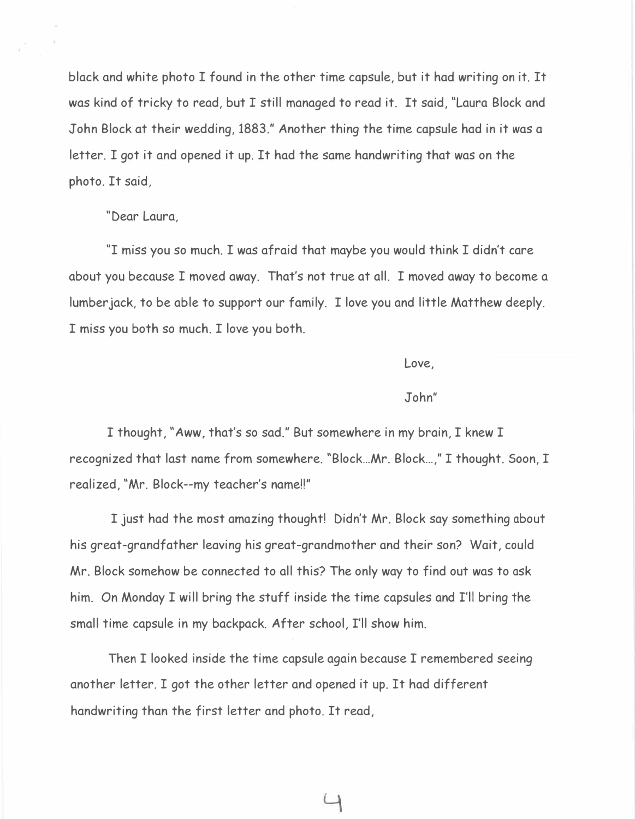black and white photo I found in the other time capsule, but it had writing on it. It was kind of tricky to read, but I still managed to read it. It said, "Laura Block and John Block at their wedding, 1883." Another thing the time capsule had in it was a letter. I got it and opened it up. It had the same handwriting that was on the photo. It said,

## "Dear Laura,

"I miss you so much. I was afraid that maybe you would think I didn't care about you because I moved away. That's not true at all. I moved away to become a lumber jack, to be able to support our family. I love you and little Matthew deeply. I miss you both so much. I love you both.

Love,

## John"

I thought, "Aww, that's so sad." But somewhere in my brain, I knew I recognized that last name from somewhere. "Block ... Mr. Block ... ," I thought. Soon, I realized, "Mr. Block--my teacher's name!!"

I just had the most amazing thought! Didn't Mr. Block say something about his great-grandfather leaving his great-grandmother and their son? Wait, could Mr. Block somehow be connected to all this? The only way to find out was to ask him. On Monday I will bring the stuff inside the time capsules and I'll bring the small time capsule in my backpack. After school, I'll show him.

Then I looked inside the time capsule again because I remembered seeing another letter. I got the other letter and opened it up. It had different handwriting than the first letter and photo. It read,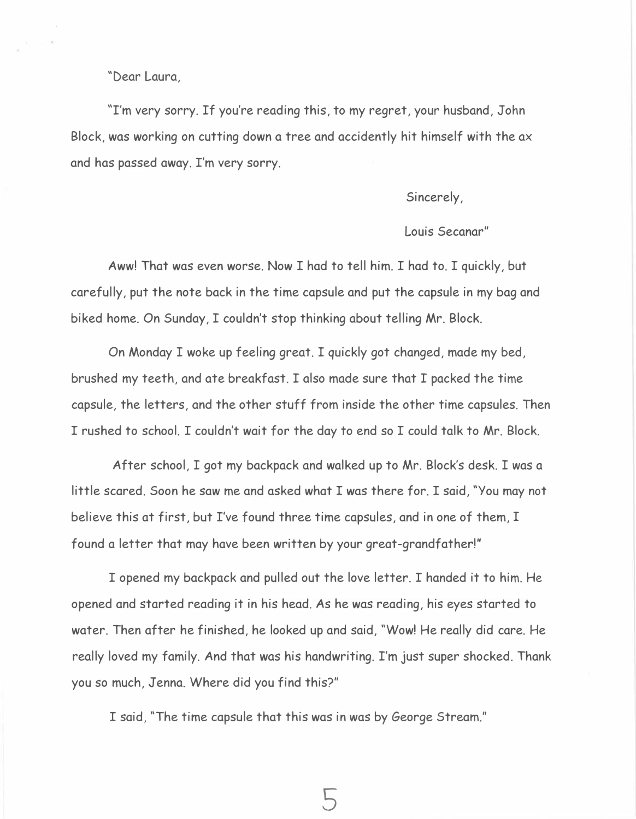"Dear Laura,

''I'm very sorry. If you're reading this, to my regret, your husband, John Block, was working on cutting down a tree and accidently hit himself with the ax and has passed away. I'm very sorry.

Sincerely,

## Louis Secanar"

Aww! That was even worse. Now I had to tell him. I had to. I quickly, but carefully, put the note back in the time capsule and put the capsule in my bag and biked home. On Sunday, I couldn't stop thinking about telling Mr. Block.

On Monday I woke up feeling great. I quickly got changed, made my bed, brushed my teeth, and ate breakfast. I also made sure that I packed the time capsule, the letters, and the other stuff from inside the other time capsules. Then I rushed to school. I couldn't wait for the day to end so I could talk to Mr. Block.

After school, I got my backpack and walked up to Mr. Block's desk. I was a little scared. Soon he saw me and asked what I was there for. I said, "You may not believe this at first, but I've found three time capsules, and in one of them, I found a letter that may have been written by your great-grandfather!"

I opened my backpack and pulled out the love letter. I handed it to him. He opened and started reading it in his head. As he was reading, his eyes started to water. Then after he finished, he looked up and said, "Wow! He really did care. He really loved my family. And that was his handwriting. I'm just super shocked. Thank you so much, Jenna. Where did you find this?"

I said, "The time capsule that this was in was by George Stream."

s